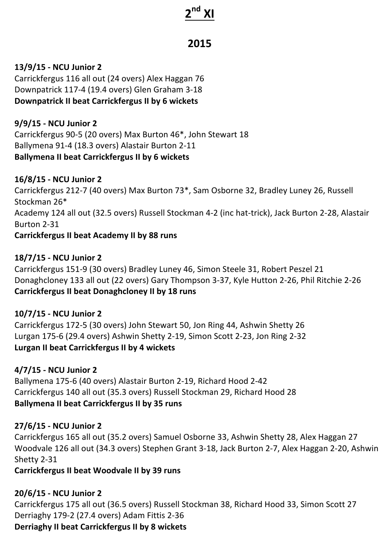# **2nd XI**

# **2015**

### **13/9/15 - NCU Junior 2**

Carrickfergus 116 all out (24 overs) Alex Haggan 76 Downpatrick 117-4 (19.4 overs) Glen Graham 3-18 **Downpatrick II beat Carrickfergus II by 6 wickets** 

**9/9/15 - NCU Junior 2** Carrickfergus 90-5 (20 overs) Max Burton 46\*, John Stewart 18 Ballymena 91-4 (18.3 overs) Alastair Burton 2-11 **Ballymena II beat Carrickfergus II by 6 wickets** 

#### **16/8/15 - NCU Junior 2**

Carrickfergus 212-7 (40 overs) Max Burton 73\*, Sam Osborne 32, Bradley Luney 26, Russell Stockman 26<sup>\*</sup> Academy 124 all out (32.5 overs) Russell Stockman 4-2 (inc hat-trick), Jack Burton 2-28, Alastair Burton 2-31 **Carrickfergus II beat Academy II by 88 runs** 

#### **18/7/15 - NCU Junior 2**

Carrickfergus 151-9 (30 overs) Bradley Luney 46, Simon Steele 31, Robert Peszel 21 Donaghcloney 133 all out (22 overs) Gary Thompson 3-37, Kyle Hutton 2-26, Phil Ritchie 2-26 **Carrickfergus II beat Donaghcloney II by 18 runs** 

#### **10/7/15 - NCU Junior 2**

Carrickfergus 172-5 (30 overs) John Stewart 50, Jon Ring 44, Ashwin Shetty 26 Lurgan 175-6 (29.4 overs) Ashwin Shetty 2-19, Simon Scott 2-23, Jon Ring 2-32 **Lurgan II beat Carrickfergus II by 4 wickets** 

## **4/7/15 - NCU Junior 2**

Ballymena 175-6 (40 overs) Alastair Burton 2-19, Richard Hood 2-42 Carrickfergus 140 all out (35.3 overs) Russell Stockman 29, Richard Hood 28 **Ballymena II beat Carrickfergus II by 35 runs** 

#### **27/6/15 - NCU Junior 2**

Carrickfergus 165 all out (35.2 overs) Samuel Osborne 33, Ashwin Shetty 28, Alex Haggan 27 Woodvale 126 all out (34.3 overs) Stephen Grant 3-18, Jack Burton 2-7, Alex Haggan 2-20, Ashwin Shetty 2-31

**Carrickfergus II beat Woodvale II by 39 runs** 

## **20/6/15 - NCU Junior 2**

Carrickfergus 175 all out (36.5 overs) Russell Stockman 38, Richard Hood 33, Simon Scott 27 Derriaghy 179-2 (27.4 overs) Adam Fittis 2-36 **Derriaghy II beat Carrickfergus II by 8 wickets**